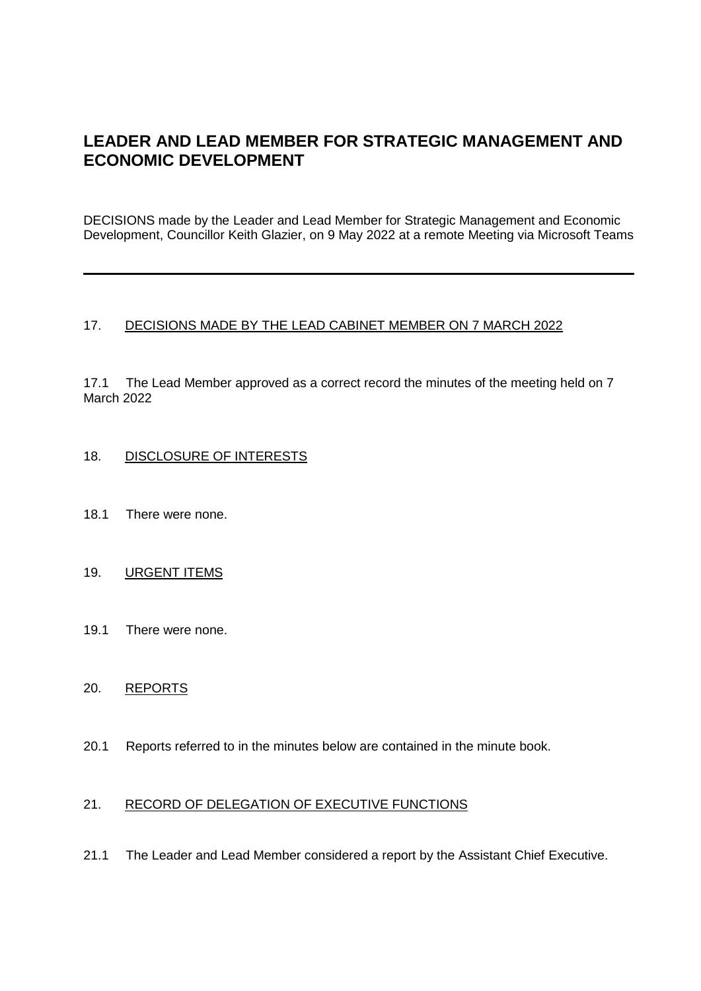# **LEADER AND LEAD MEMBER FOR STRATEGIC MANAGEMENT AND ECONOMIC DEVELOPMENT**

DECISIONS made by the Leader and Lead Member for Strategic Management and Economic Development, Councillor Keith Glazier, on 9 May 2022 at a remote Meeting via Microsoft Teams

## 17. DECISIONS MADE BY THE LEAD CABINET MEMBER ON 7 MARCH 2022

17.1 The Lead Member approved as a correct record the minutes of the meeting held on 7 March 2022

## 18. DISCLOSURE OF INTERESTS

18.1 There were none.

## 19. URGENT ITEMS

19.1 There were none.

## 20. REPORTS

20.1 Reports referred to in the minutes below are contained in the minute book.

#### 21. RECORD OF DELEGATION OF EXECUTIVE FUNCTIONS

21.1 The Leader and Lead Member considered a report by the Assistant Chief Executive.